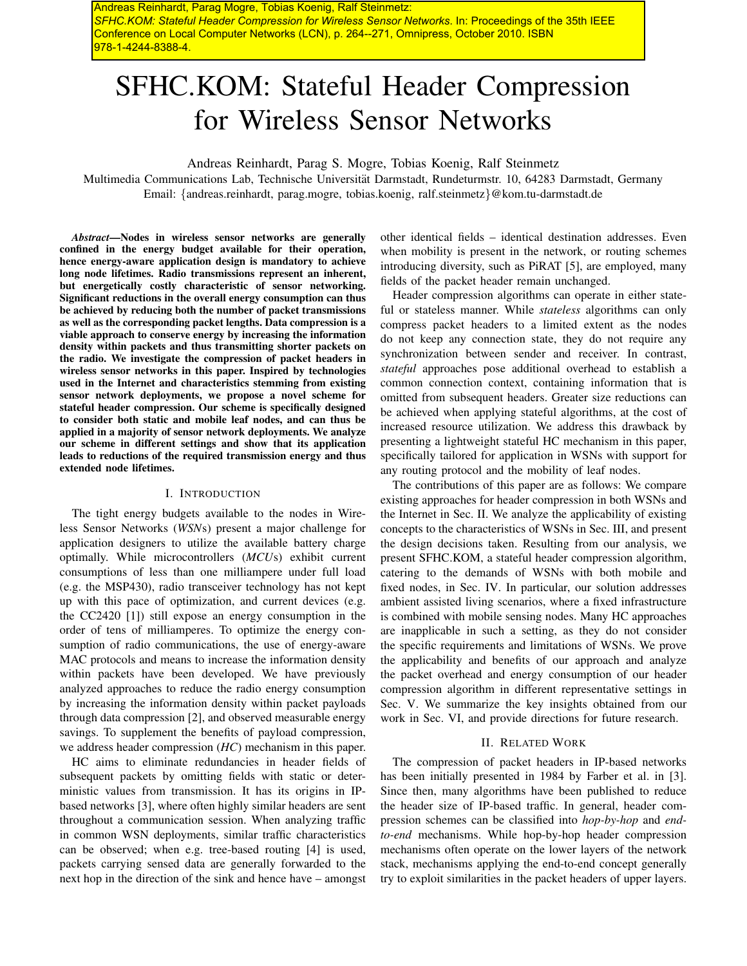Andreas Reinhardt, Parag Mogre, Tobias Koenig, Ralf Steinmetz: *SFHC.KOM: Stateful Header Compression for Wireless Sensor Networks*. In: Proceedings of the 35th IEEE Conference on Local Computer Networks (LCN), p. 264--271, Omnipress, October 2010. ISBN 978-1-4244-8388-4.

# SFHC.KOM: Stateful Header Compression for Wireless Sensor Networks

Andreas Reinhardt, Parag S. Mogre, Tobias Koenig, Ralf Steinmetz

Multimedia Communications Lab, Technische Universität Darmstadt, Rundeturmstr. 10, 64283 Darmstadt, Germany Email: {andreas.reinhardt, parag.mogre, tobias.koenig, ralf.steinmetz}@kom.tu-darmstadt.de

*Abstract***—Nodes in wireless sensor networks are generally confined in the energy budget available for their operation, hence energy-aware application design is mandatory to achieve long node lifetimes. Radio transmissions represent an inherent, but energetically costly characteristic of sensor networking. Significant reductions in the overall energy consumption can thus be achieved by reducing both the number of packet transmissions as well as the corresponding packet lengths. Data compression is a viable approach to conserve energy by increasing the information density within packets and thus transmitting shorter packets on the radio. We investigate the compression of packet headers in wireless sensor networks in this paper. Inspired by technologies used in the Internet and characteristics stemming from existing sensor network deployments, we propose a novel scheme for stateful header compression. Our scheme is specifically designed to consider both static and mobile leaf nodes, and can thus be applied in a majority of sensor network deployments. We analyze our scheme in different settings and show that its application leads to reductions of the required transmission energy and thus extended node lifetimes.**

#### I. INTRODUCTION

The tight energy budgets available to the nodes in Wireless Sensor Networks (*WSN*s) present a major challenge for application designers to utilize the available battery charge optimally. While microcontrollers (*MCU*s) exhibit current consumptions of less than one milliampere under full load (e.g. the MSP430), radio transceiver technology has not kept up with this pace of optimization, and current devices (e.g. the CC2420 [1]) still expose an energy consumption in the order of tens of milliamperes. To optimize the energy consumption of radio communications, the use of energy-aware MAC protocols and means to increase the information density within packets have been developed. We have previously analyzed approaches to reduce the radio energy consumption by increasing the information density within packet payloads through data compression [2], and observed measurable energy savings. To supplement the benefits of payload compression, we address header compression (*HC*) mechanism in this paper.

HC aims to eliminate redundancies in header fields of subsequent packets by omitting fields with static or deterministic values from transmission. It has its origins in IPbased networks [3], where often highly similar headers are sent throughout a communication session. When analyzing traffic in common WSN deployments, similar traffic characteristics can be observed; when e.g. tree-based routing [4] is used, packets carrying sensed data are generally forwarded to the next hop in the direction of the sink and hence have – amongst other identical fields – identical destination addresses. Even when mobility is present in the network, or routing schemes introducing diversity, such as PiRAT [5], are employed, many fields of the packet header remain unchanged.

Header compression algorithms can operate in either stateful or stateless manner. While *stateless* algorithms can only compress packet headers to a limited extent as the nodes do not keep any connection state, they do not require any synchronization between sender and receiver. In contrast, *stateful* approaches pose additional overhead to establish a common connection context, containing information that is omitted from subsequent headers. Greater size reductions can be achieved when applying stateful algorithms, at the cost of increased resource utilization. We address this drawback by presenting a lightweight stateful HC mechanism in this paper, specifically tailored for application in WSNs with support for any routing protocol and the mobility of leaf nodes.

The contributions of this paper are as follows: We compare existing approaches for header compression in both WSNs and the Internet in Sec. II. We analyze the applicability of existing concepts to the characteristics of WSNs in Sec. III, and present the design decisions taken. Resulting from our analysis, we present SFHC.KOM, a stateful header compression algorithm, catering to the demands of WSNs with both mobile and fixed nodes, in Sec. IV. In particular, our solution addresses ambient assisted living scenarios, where a fixed infrastructure is combined with mobile sensing nodes. Many HC approaches are inapplicable in such a setting, as they do not consider the specific requirements and limitations of WSNs. We prove the applicability and benefits of our approach and analyze the packet overhead and energy consumption of our header compression algorithm in different representative settings in Sec. V. We summarize the key insights obtained from our work in Sec. VI, and provide directions for future research.

# II. RELATED WORK

The compression of packet headers in IP-based networks has been initially presented in 1984 by Farber et al. in [3]. Since then, many algorithms have been published to reduce the header size of IP-based traffic. In general, header compression schemes can be classified into *hop-by-hop* and *endto-end* mechanisms. While hop-by-hop header compression mechanisms often operate on the lower layers of the network stack, mechanisms applying the end-to-end concept generally try to exploit similarities in the packet headers of upper layers.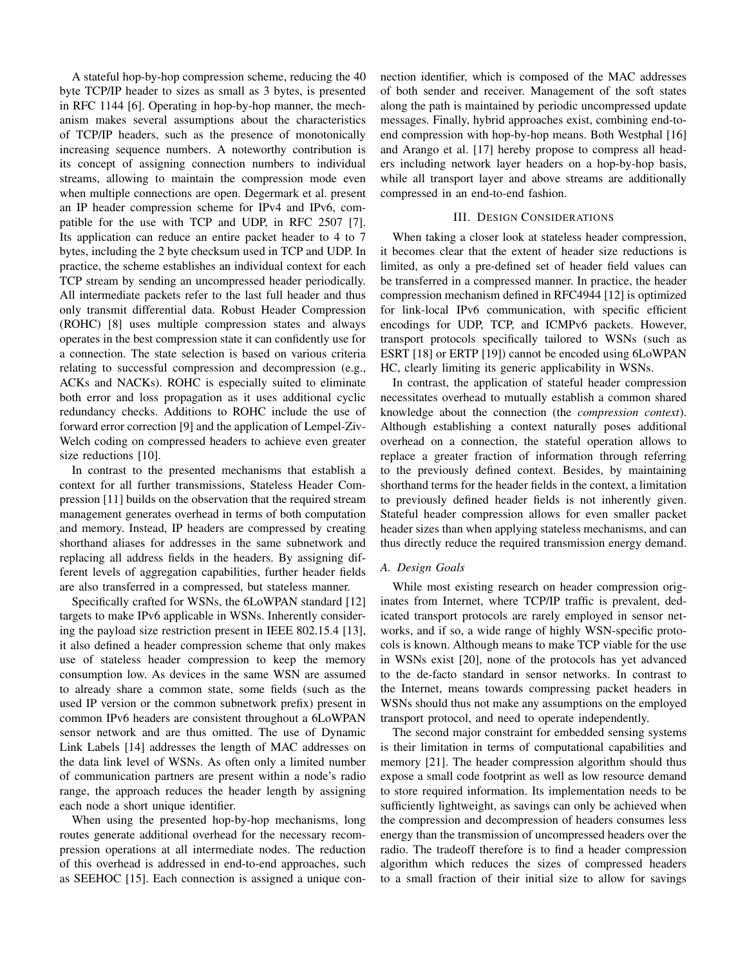A stateful hop-by-hop compression scheme, reducing the 40 byte TCP/IP header to sizes as small as 3 bytes, is presented in RFC 1144 [6]. Operating in hop-by-hop manner, the mechanism makes several assumptions about the characteristics of TCP/IP headers, such as the presence of monotonically increasing sequence numbers. A noteworthy contribution is its concept of assigning connection numbers to individual streams, allowing to maintain the compression mode even when multiple connections are open. Degermark et al. present an IP header compression scheme for IPv4 and IPv6, compatible for the use with TCP and UDP, in RFC 2507 [7]. Its application can reduce an entire packet header to 4 to 7 bytes, including the 2 byte checksum used in TCP and UDP. In practice, the scheme establishes an individual context for each TCP stream by sending an uncompressed header periodically. All intermediate packets refer to the last full header and thus only transmit differential data. Robust Header Compression (ROHC) [8] uses multiple compression states and always operates in the best compression state it can confidently use for a connection. The state selection is based on various criteria relating to successful compression and decompression (e.g., ACKs and NACKs). ROHC is especially suited to eliminate both error and loss propagation as it uses additional cyclic redundancy checks. Additions to ROHC include the use of forward error correction [9] and the application of Lempel-Ziv-Welch coding on compressed headers to achieve even greater size reductions [10].

In contrast to the presented mechanisms that establish a context for all further transmissions, Stateless Header Compression [11] builds on the observation that the required stream management generates overhead in terms of both computation and memory. Instead, IP headers are compressed by creating shorthand aliases for addresses in the same subnetwork and replacing all address fields in the headers. By assigning different levels of aggregation capabilities, further header fields are also transferred in a compressed, but stateless manner.

Specifically crafted for WSNs, the 6LoWPAN standard [12] targets to make IPv6 applicable in WSNs. Inherently considering the payload size restriction present in IEEE 802.15.4 [13], it also defined a header compression scheme that only makes use of stateless header compression to keep the memory consumption low. As devices in the same WSN are assumed to already share a common state, some fields (such as the used IP version or the common subnetwork prefix) present in common IPv6 headers are consistent throughout a 6LoWPAN sensor network and are thus omitted. The use of Dynamic Link Labels [14] addresses the length of MAC addresses on the data link level of WSNs. As often only a limited number of communication partners are present within a node's radio range, the approach reduces the header length by assigning each node a short unique identifier.

When using the presented hop-by-hop mechanisms, long routes generate additional overhead for the necessary recompression operations at all intermediate nodes. The reduction of this overhead is addressed in end-to-end approaches, such as SEEHOC [15]. Each connection is assigned a unique connection identifier, which is composed of the MAC addresses of both sender and receiver. Management of the soft states along the path is maintained by periodic uncompressed update messages. Finally, hybrid approaches exist, combining end-toend compression with hop-by-hop means. Both Westphal [16] and Arango et al. [17] hereby propose to compress all headers including network layer headers on a hop-by-hop basis, while all transport layer and above streams are additionally compressed in an end-to-end fashion.

## III. DESIGN CONSIDERATIONS

When taking a closer look at stateless header compression, it becomes clear that the extent of header size reductions is limited, as only a pre-defined set of header field values can be transferred in a compressed manner. In practice, the header compression mechanism defined in RFC4944 [12] is optimized for link-local IPv6 communication, with specific efficient encodings for UDP, TCP, and ICMPv6 packets. However, transport protocols specifically tailored to WSNs (such as ESRT [18] or ERTP [19]) cannot be encoded using 6LoWPAN HC, clearly limiting its generic applicability in WSNs.

In contrast, the application of stateful header compression necessitates overhead to mutually establish a common shared knowledge about the connection (the *compression context*). Although establishing a context naturally poses additional overhead on a connection, the stateful operation allows to replace a greater fraction of information through referring to the previously defined context. Besides, by maintaining shorthand terms for the header fields in the context, a limitation to previously defined header fields is not inherently given. Stateful header compression allows for even smaller packet header sizes than when applying stateless mechanisms, and can thus directly reduce the required transmission energy demand.

#### *A. Design Goals*

While most existing research on header compression originates from Internet, where TCP/IP traffic is prevalent, dedicated transport protocols are rarely employed in sensor networks, and if so, a wide range of highly WSN-specific protocols is known. Although means to make TCP viable for the use in WSNs exist [20], none of the protocols has yet advanced to the de-facto standard in sensor networks. In contrast to the Internet, means towards compressing packet headers in WSNs should thus not make any assumptions on the employed transport protocol, and need to operate independently.

The second major constraint for embedded sensing systems is their limitation in terms of computational capabilities and memory [21]. The header compression algorithm should thus expose a small code footprint as well as low resource demand to store required information. Its implementation needs to be sufficiently lightweight, as savings can only be achieved when the compression and decompression of headers consumes less energy than the transmission of uncompressed headers over the radio. The tradeoff therefore is to find a header compression algorithm which reduces the sizes of compressed headers to a small fraction of their initial size to allow for savings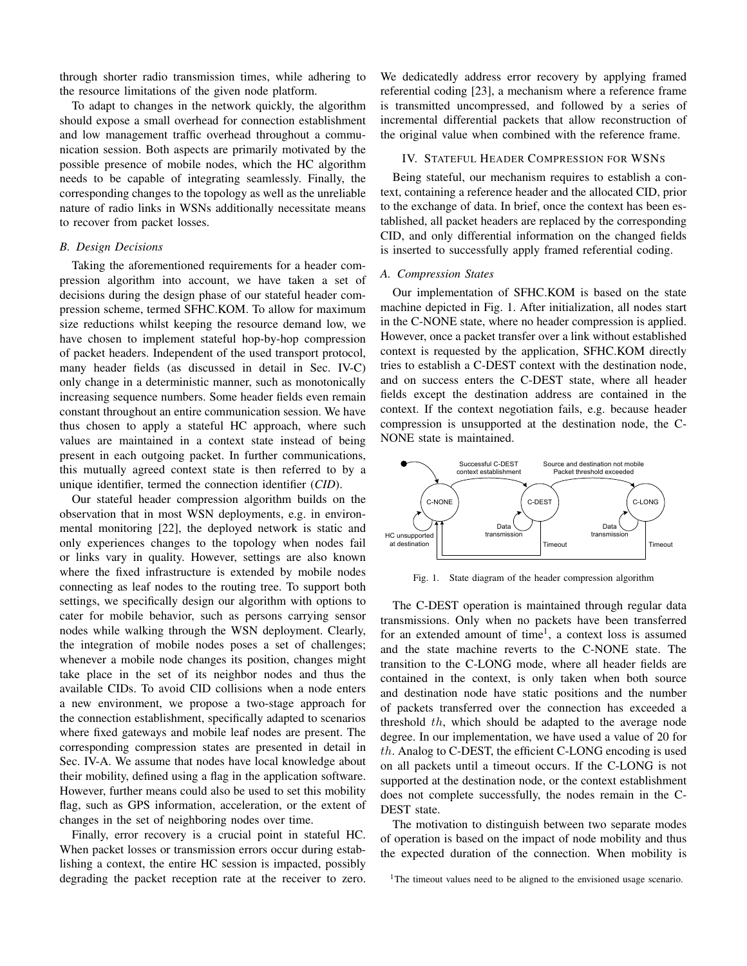through shorter radio transmission times, while adhering to the resource limitations of the given node platform.

To adapt to changes in the network quickly, the algorithm should expose a small overhead for connection establishment and low management traffic overhead throughout a communication session. Both aspects are primarily motivated by the possible presence of mobile nodes, which the HC algorithm needs to be capable of integrating seamlessly. Finally, the corresponding changes to the topology as well as the unreliable nature of radio links in WSNs additionally necessitate means to recover from packet losses.

#### *B. Design Decisions*

Taking the aforementioned requirements for a header compression algorithm into account, we have taken a set of decisions during the design phase of our stateful header compression scheme, termed SFHC.KOM. To allow for maximum size reductions whilst keeping the resource demand low, we have chosen to implement stateful hop-by-hop compression of packet headers. Independent of the used transport protocol, many header fields (as discussed in detail in Sec. IV-C) only change in a deterministic manner, such as monotonically increasing sequence numbers. Some header fields even remain constant throughout an entire communication session. We have thus chosen to apply a stateful HC approach, where such values are maintained in a context state instead of being present in each outgoing packet. In further communications, this mutually agreed context state is then referred to by a unique identifier, termed the connection identifier (*CID*).

Our stateful header compression algorithm builds on the observation that in most WSN deployments, e.g. in environmental monitoring [22], the deployed network is static and only experiences changes to the topology when nodes fail or links vary in quality. However, settings are also known where the fixed infrastructure is extended by mobile nodes connecting as leaf nodes to the routing tree. To support both settings, we specifically design our algorithm with options to cater for mobile behavior, such as persons carrying sensor nodes while walking through the WSN deployment. Clearly, the integration of mobile nodes poses a set of challenges; whenever a mobile node changes its position, changes might take place in the set of its neighbor nodes and thus the available CIDs. To avoid CID collisions when a node enters a new environment, we propose a two-stage approach for the connection establishment, specifically adapted to scenarios where fixed gateways and mobile leaf nodes are present. The corresponding compression states are presented in detail in Sec. IV-A. We assume that nodes have local knowledge about their mobility, defined using a flag in the application software. However, further means could also be used to set this mobility flag, such as GPS information, acceleration, or the extent of changes in the set of neighboring nodes over time.

Finally, error recovery is a crucial point in stateful HC. When packet losses or transmission errors occur during establishing a context, the entire HC session is impacted, possibly degrading the packet reception rate at the receiver to zero. We dedicatedly address error recovery by applying framed referential coding [23], a mechanism where a reference frame is transmitted uncompressed, and followed by a series of incremental differential packets that allow reconstruction of the original value when combined with the reference frame.

#### IV. STATEFUL HEADER COMPRESSION FOR WSNS

Being stateful, our mechanism requires to establish a context, containing a reference header and the allocated CID, prior to the exchange of data. In brief, once the context has been established, all packet headers are replaced by the corresponding CID, and only differential information on the changed fields is inserted to successfully apply framed referential coding.

## *A. Compression States*

Our implementation of SFHC.KOM is based on the state machine depicted in Fig. 1. After initialization, all nodes start in the C-NONE state, where no header compression is applied. However, once a packet transfer over a link without established context is requested by the application, SFHC.KOM directly tries to establish a C-DEST context with the destination node, and on success enters the C-DEST state, where all header fields except the destination address are contained in the context. If the context negotiation fails, e.g. because header compression is unsupported at the destination node, the C-NONE state is maintained.



Fig. 1. State diagram of the header compression algorithm

The C-DEST operation is maintained through regular data transmissions. Only when no packets have been transferred for an extended amount of time<sup>1</sup>, a context loss is assumed and the state machine reverts to the C-NONE state. The transition to the C-LONG mode, where all header fields are contained in the context, is only taken when both source and destination node have static positions and the number of packets transferred over the connection has exceeded a threshold  $th$ , which should be adapted to the average node degree. In our implementation, we have used a value of 20 for th. Analog to C-DEST, the efficient C-LONG encoding is used on all packets until a timeout occurs. If the C-LONG is not supported at the destination node, or the context establishment does not complete successfully, the nodes remain in the C-DEST state.

The motivation to distinguish between two separate modes of operation is based on the impact of node mobility and thus the expected duration of the connection. When mobility is

<sup>&</sup>lt;sup>1</sup>The timeout values need to be aligned to the envisioned usage scenario.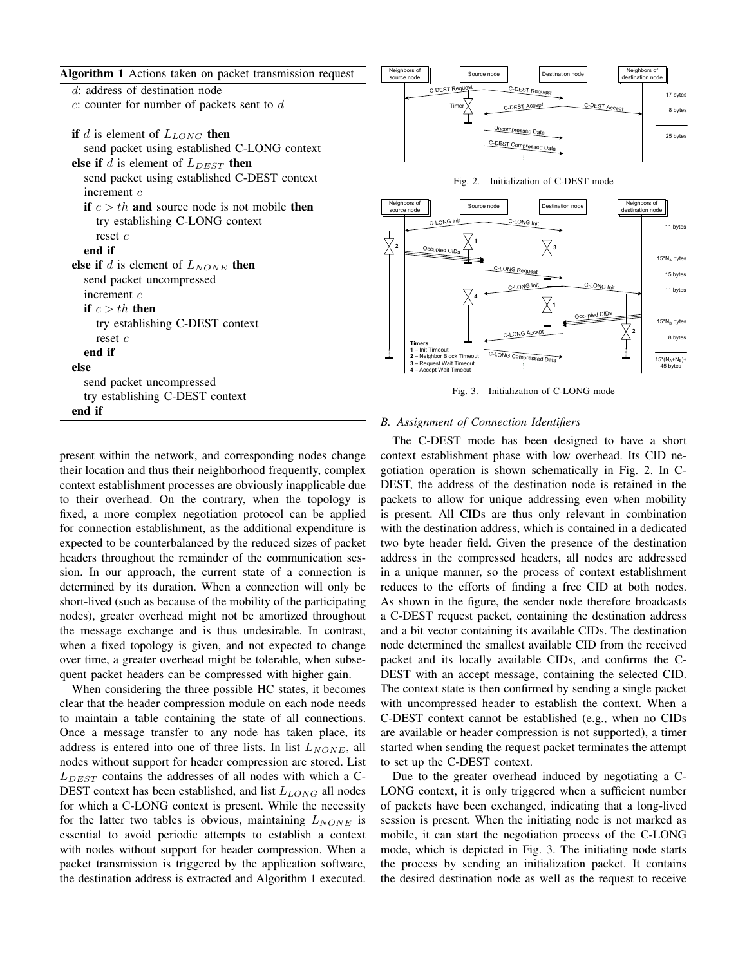**Algorithm 1** Actions taken on packet transmission request

: address of destination node

 $c$ : counter for number of packets sent to  $d$ 

**if**  $d$  is element of  $L_{LONG}$  then send packet using established C-LONG context **else if**  $d$  is element of  $L_{DEST}$  then send packet using established C-DEST context increment c **if**  $c > th$  **and** source node is not mobile **then** try establishing C-LONG context reset  $c$ **end if else if**  $d$  is element of  $L_{NONE}$  **then** send packet uncompressed increment c **if**  $c > th$  **then** try establishing C-DEST context reset c **end if else** send packet uncompressed try establishing C-DEST context **end if**

present within the network, and corresponding nodes change their location and thus their neighborhood frequently, complex context establishment processes are obviously inapplicable due to their overhead. On the contrary, when the topology is fixed, a more complex negotiation protocol can be applied for connection establishment, as the additional expenditure is expected to be counterbalanced by the reduced sizes of packet headers throughout the remainder of the communication session. In our approach, the current state of a connection is determined by its duration. When a connection will only be short-lived (such as because of the mobility of the participating nodes), greater overhead might not be amortized throughout the message exchange and is thus undesirable. In contrast, when a fixed topology is given, and not expected to change over time, a greater overhead might be tolerable, when subsequent packet headers can be compressed with higher gain.

When considering the three possible HC states, it becomes clear that the header compression module on each node needs to maintain a table containing the state of all connections. Once a message transfer to any node has taken place, its address is entered into one of three lists. In list  $L_{NONE}$ , all nodes without support for header compression are stored. List  $L_{DEST}$  contains the addresses of all nodes with which a C-DEST context has been established, and list  $L_{LONG}$  all nodes for which a C-LONG context is present. While the necessity for the latter two tables is obvious, maintaining  $L_{NONE}$  is essential to avoid periodic attempts to establish a context with nodes without support for header compression. When a packet transmission is triggered by the application software, the destination address is extracted and Algorithm 1 executed.







Fig. 3. Initialization of C-LONG mode

# *B. Assignment of Connection Identifiers*

The C-DEST mode has been designed to have a short context establishment phase with low overhead. Its CID negotiation operation is shown schematically in Fig. 2. In C-DEST, the address of the destination node is retained in the packets to allow for unique addressing even when mobility is present. All CIDs are thus only relevant in combination with the destination address, which is contained in a dedicated two byte header field. Given the presence of the destination address in the compressed headers, all nodes are addressed in a unique manner, so the process of context establishment reduces to the efforts of finding a free CID at both nodes. As shown in the figure, the sender node therefore broadcasts a C-DEST request packet, containing the destination address and a bit vector containing its available CIDs. The destination node determined the smallest available CID from the received packet and its locally available CIDs, and confirms the C-DEST with an accept message, containing the selected CID. The context state is then confirmed by sending a single packet with uncompressed header to establish the context. When a C-DEST context cannot be established (e.g., when no CIDs are available or header compression is not supported), a timer started when sending the request packet terminates the attempt to set up the C-DEST context.

Due to the greater overhead induced by negotiating a C-LONG context, it is only triggered when a sufficient number of packets have been exchanged, indicating that a long-lived session is present. When the initiating node is not marked as mobile, it can start the negotiation process of the C-LONG mode, which is depicted in Fig. 3. The initiating node starts the process by sending an initialization packet. It contains the desired destination node as well as the request to receive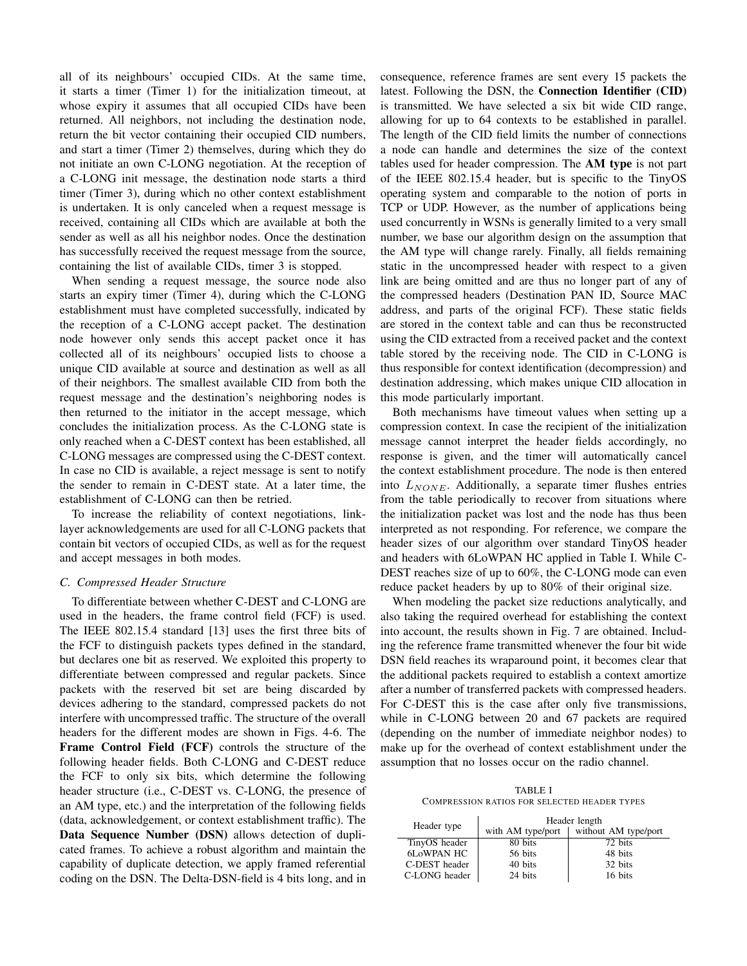all of its neighbours' occupied CIDs. At the same time, it starts a timer (Timer 1) for the initialization timeout, at whose expiry it assumes that all occupied CIDs have been returned. All neighbors, not including the destination node, return the bit vector containing their occupied CID numbers, and start a timer (Timer 2) themselves, during which they do not initiate an own C-LONG negotiation. At the reception of a C-LONG init message, the destination node starts a third timer (Timer 3), during which no other context establishment is undertaken. It is only canceled when a request message is received, containing all CIDs which are available at both the sender as well as all his neighbor nodes. Once the destination has successfully received the request message from the source, containing the list of available CIDs, timer 3 is stopped.

When sending a request message, the source node also starts an expiry timer (Timer 4), during which the C-LONG establishment must have completed successfully, indicated by the reception of a C-LONG accept packet. The destination node however only sends this accept packet once it has collected all of its neighbours' occupied lists to choose a unique CID available at source and destination as well as all of their neighbors. The smallest available CID from both the request message and the destination's neighboring nodes is then returned to the initiator in the accept message, which concludes the initialization process. As the C-LONG state is only reached when a C-DEST context has been established, all C-LONG messages are compressed using the C-DEST context. In case no CID is available, a reject message is sent to notify the sender to remain in C-DEST state. At a later time, the establishment of C-LONG can then be retried.

To increase the reliability of context negotiations, linklayer acknowledgements are used for all C-LONG packets that contain bit vectors of occupied CIDs, as well as for the request and accept messages in both modes.

## *C. Compressed Header Structure*

To differentiate between whether C-DEST and C-LONG are used in the headers, the frame control field (FCF) is used. The IEEE 802.15.4 standard [13] uses the first three bits of the FCF to distinguish packets types defined in the standard, but declares one bit as reserved. We exploited this property to differentiate between compressed and regular packets. Since packets with the reserved bit set are being discarded by devices adhering to the standard, compressed packets do not interfere with uncompressed traffic. The structure of the overall headers for the different modes are shown in Figs. 4-6. The **Frame Control Field (FCF)** controls the structure of the following header fields. Both C-LONG and C-DEST reduce the FCF to only six bits, which determine the following header structure (i.e., C-DEST vs. C-LONG, the presence of an AM type, etc.) and the interpretation of the following fields (data, acknowledgement, or context establishment traffic). The **Data Sequence Number (DSN)** allows detection of duplicated frames. To achieve a robust algorithm and maintain the capability of duplicate detection, we apply framed referential coding on the DSN. The Delta-DSN-field is 4 bits long, and in consequence, reference frames are sent every 15 packets the latest. Following the DSN, the **Connection Identifier (CID)** is transmitted. We have selected a six bit wide CID range, allowing for up to 64 contexts to be established in parallel. The length of the CID field limits the number of connections a node can handle and determines the size of the context tables used for header compression. The **AM type** is not part of the IEEE 802.15.4 header, but is specific to the TinyOS operating system and comparable to the notion of ports in TCP or UDP. However, as the number of applications being used concurrently in WSNs is generally limited to a very small number, we base our algorithm design on the assumption that the AM type will change rarely. Finally, all fields remaining static in the uncompressed header with respect to a given link are being omitted and are thus no longer part of any of the compressed headers (Destination PAN ID, Source MAC address, and parts of the original FCF). These static fields are stored in the context table and can thus be reconstructed using the CID extracted from a received packet and the context table stored by the receiving node. The CID in C-LONG is thus responsible for context identification (decompression) and destination addressing, which makes unique CID allocation in this mode particularly important.

Both mechanisms have timeout values when setting up a compression context. In case the recipient of the initialization message cannot interpret the header fields accordingly, no response is given, and the timer will automatically cancel the context establishment procedure. The node is then entered into  $L_{NONE}$ . Additionally, a separate timer flushes entries from the table periodically to recover from situations where the initialization packet was lost and the node has thus been interpreted as not responding. For reference, we compare the header sizes of our algorithm over standard TinyOS header and headers with 6LoWPAN HC applied in Table I. While C-DEST reaches size of up to 60%, the C-LONG mode can even reduce packet headers by up to 80% of their original size.

When modeling the packet size reductions analytically, and also taking the required overhead for establishing the context into account, the results shown in Fig. 7 are obtained. Including the reference frame transmitted whenever the four bit wide DSN field reaches its wraparound point, it becomes clear that the additional packets required to establish a context amortize after a number of transferred packets with compressed headers. For C-DEST this is the case after only five transmissions, while in C-LONG between 20 and 67 packets are required (depending on the number of immediate neighbor nodes) to make up for the overhead of context establishment under the assumption that no losses occur on the radio channel.

TABLE I COMPRESSION RATIOS FOR SELECTED HEADER TYPES

| Header type       | Header length     |                      |  |
|-------------------|-------------------|----------------------|--|
|                   | with AM type/port | without AM type/port |  |
| TinyOS header     | 80 bits           | 72 bits              |  |
| <b>6LoWPAN HC</b> | 56 bits           | 48 bits              |  |
| C-DEST header     | 40 bits           | 32 bits              |  |
| C-LONG header     | 24 bits           | 16 bits              |  |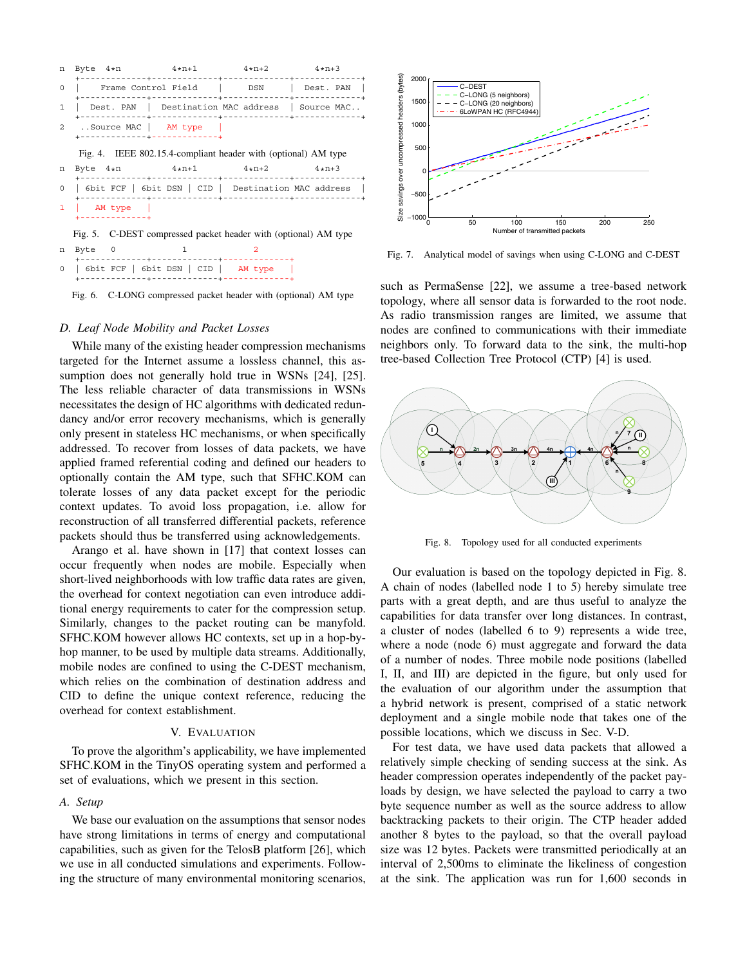| n                                                               | Byte $4*n+1$ $4*n+2$ $4*n+3$                                   |  |  |  |  |  |
|-----------------------------------------------------------------|----------------------------------------------------------------|--|--|--|--|--|
| $\Omega$                                                        | Frame Control Field   DSN   Dest. PAN                          |  |  |  |  |  |
|                                                                 | 1   Dest. PAN   Destination MAC address   Source MAC           |  |  |  |  |  |
| $2^{\circ}$                                                     | Source MAC   AM type<br>+-------------+-------------+          |  |  |  |  |  |
|                                                                 | Fig. 4. IEEE 802.15.4-compliant header with (optional) AM type |  |  |  |  |  |
| n                                                               | Byte $4*n+1$ $4*n+2$ $4*n+3$                                   |  |  |  |  |  |
|                                                                 | 0   6bit FCF   6bit DSN   CID   Destination MAC address        |  |  |  |  |  |
|                                                                 | $1$   AM type  <br>+------------+                              |  |  |  |  |  |
| Fig. 5. C-DEST compressed packet header with (optional) AM type |                                                                |  |  |  |  |  |
| n                                                               | Byte 0                                                         |  |  |  |  |  |
|                                                                 | 0   6bit FCF   6bit DSN   CID   AM type                        |  |  |  |  |  |

Fig. 6. C-LONG compressed packet header with (optional) AM type

## *D. Leaf Node Mobility and Packet Losses*

While many of the existing header compression mechanisms targeted for the Internet assume a lossless channel, this assumption does not generally hold true in WSNs [24], [25]. The less reliable character of data transmissions in WSNs necessitates the design of HC algorithms with dedicated redundancy and/or error recovery mechanisms, which is generally only present in stateless HC mechanisms, or when specifically addressed. To recover from losses of data packets, we have applied framed referential coding and defined our headers to optionally contain the AM type, such that SFHC.KOM can tolerate losses of any data packet except for the periodic context updates. To avoid loss propagation, i.e. allow for reconstruction of all transferred differential packets, reference packets should thus be transferred using acknowledgements.

Arango et al. have shown in [17] that context losses can occur frequently when nodes are mobile. Especially when short-lived neighborhoods with low traffic data rates are given, the overhead for context negotiation can even introduce additional energy requirements to cater for the compression setup. Similarly, changes to the packet routing can be manyfold. SFHC.KOM however allows HC contexts, set up in a hop-byhop manner, to be used by multiple data streams. Additionally, mobile nodes are confined to using the C-DEST mechanism, which relies on the combination of destination address and CID to define the unique context reference, reducing the overhead for context establishment.

### V. EVALUATION

To prove the algorithm's applicability, we have implemented SFHC.KOM in the TinyOS operating system and performed a set of evaluations, which we present in this section.

# *A. Setup*

We base our evaluation on the assumptions that sensor nodes have strong limitations in terms of energy and computational capabilities, such as given for the TelosB platform [26], which we use in all conducted simulations and experiments. Following the structure of many environmental monitoring scenarios,



Fig. 7. Analytical model of savings when using C-LONG and C-DEST

such as PermaSense [22], we assume a tree-based network topology, where all sensor data is forwarded to the root node. As radio transmission ranges are limited, we assume that nodes are confined to communications with their immediate neighbors only. To forward data to the sink, the multi-hop tree-based Collection Tree Protocol (CTP) [4] is used.



Fig. 8. Topology used for all conducted experiments

Our evaluation is based on the topology depicted in Fig. 8. A chain of nodes (labelled node 1 to 5) hereby simulate tree parts with a great depth, and are thus useful to analyze the capabilities for data transfer over long distances. In contrast, a cluster of nodes (labelled 6 to 9) represents a wide tree, where a node (node 6) must aggregate and forward the data of a number of nodes. Three mobile node positions (labelled I, II, and III) are depicted in the figure, but only used for the evaluation of our algorithm under the assumption that a hybrid network is present, comprised of a static network deployment and a single mobile node that takes one of the possible locations, which we discuss in Sec. V-D.

For test data, we have used data packets that allowed a relatively simple checking of sending success at the sink. As header compression operates independently of the packet payloads by design, we have selected the payload to carry a two byte sequence number as well as the source address to allow backtracking packets to their origin. The CTP header added another 8 bytes to the payload, so that the overall payload size was 12 bytes. Packets were transmitted periodically at an interval of 2,500ms to eliminate the likeliness of congestion at the sink. The application was run for 1,600 seconds in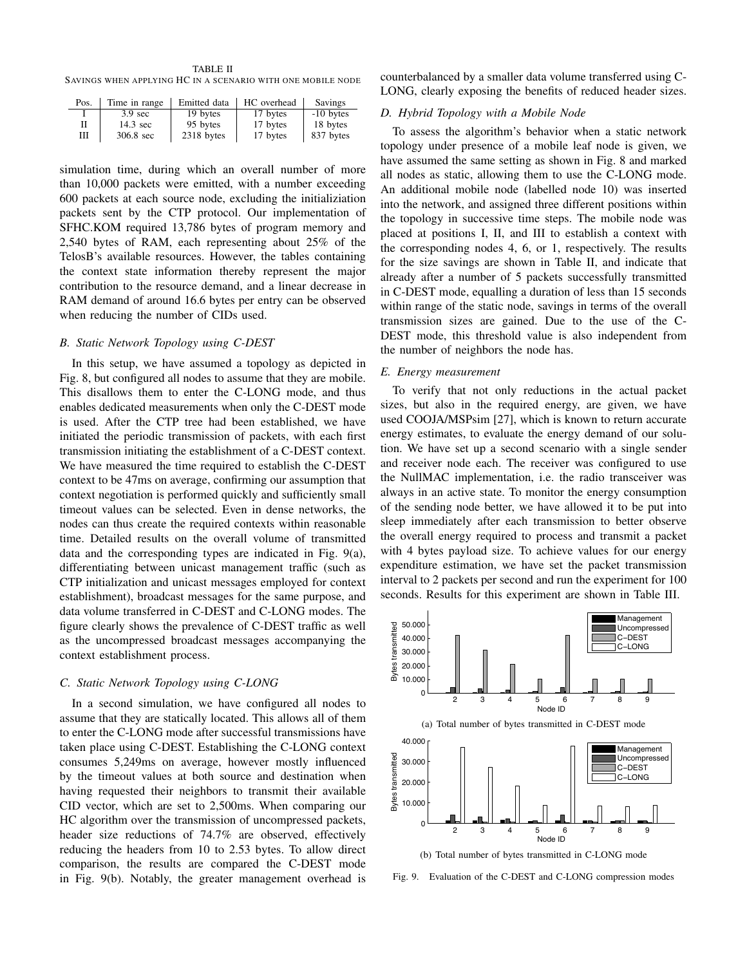TABLE II SAVINGS WHEN APPLYING HC IN A SCENARIO WITH ONE MOBILE NODE

| Pos. | Time in range     | Emitted data | HC overhead | Savings     |
|------|-------------------|--------------|-------------|-------------|
|      | $3.9 \text{ sec}$ | 19 bytes     | 17 bytes    | $-10$ bytes |
| П    | 14.3 sec          | 95 bytes     | 17 bytes    | 18 bytes    |
| Ш    | 306.8 sec         | 2318 bytes   | 17 bytes    | 837 bytes   |

simulation time, during which an overall number of more than 10,000 packets were emitted, with a number exceeding 600 packets at each source node, excluding the initializiation packets sent by the CTP protocol. Our implementation of SFHC.KOM required 13,786 bytes of program memory and 2,540 bytes of RAM, each representing about 25% of the TelosB's available resources. However, the tables containing the context state information thereby represent the major contribution to the resource demand, and a linear decrease in RAM demand of around 16.6 bytes per entry can be observed when reducing the number of CIDs used.

## *B. Static Network Topology using C-DEST*

In this setup, we have assumed a topology as depicted in Fig. 8, but configured all nodes to assume that they are mobile. This disallows them to enter the C-LONG mode, and thus enables dedicated measurements when only the C-DEST mode is used. After the CTP tree had been established, we have initiated the periodic transmission of packets, with each first transmission initiating the establishment of a C-DEST context. We have measured the time required to establish the C-DEST context to be 47ms on average, confirming our assumption that context negotiation is performed quickly and sufficiently small timeout values can be selected. Even in dense networks, the nodes can thus create the required contexts within reasonable time. Detailed results on the overall volume of transmitted data and the corresponding types are indicated in Fig. 9(a), differentiating between unicast management traffic (such as CTP initialization and unicast messages employed for context establishment), broadcast messages for the same purpose, and data volume transferred in C-DEST and C-LONG modes. The figure clearly shows the prevalence of C-DEST traffic as well as the uncompressed broadcast messages accompanying the context establishment process.

## *C. Static Network Topology using C-LONG*

In a second simulation, we have configured all nodes to assume that they are statically located. This allows all of them to enter the C-LONG mode after successful transmissions have taken place using C-DEST. Establishing the C-LONG context consumes 5,249ms on average, however mostly influenced by the timeout values at both source and destination when having requested their neighbors to transmit their available CID vector, which are set to 2,500ms. When comparing our HC algorithm over the transmission of uncompressed packets, header size reductions of 74.7% are observed, effectively reducing the headers from 10 to 2.53 bytes. To allow direct comparison, the results are compared the C-DEST mode in Fig. 9(b). Notably, the greater management overhead is

counterbalanced by a smaller data volume transferred using C-LONG, clearly exposing the benefits of reduced header sizes.

## *D. Hybrid Topology with a Mobile Node*

To assess the algorithm's behavior when a static network topology under presence of a mobile leaf node is given, we have assumed the same setting as shown in Fig. 8 and marked all nodes as static, allowing them to use the C-LONG mode. An additional mobile node (labelled node 10) was inserted into the network, and assigned three different positions within the topology in successive time steps. The mobile node was placed at positions I, II, and III to establish a context with the corresponding nodes 4, 6, or 1, respectively. The results for the size savings are shown in Table II, and indicate that already after a number of 5 packets successfully transmitted in C-DEST mode, equalling a duration of less than 15 seconds within range of the static node, savings in terms of the overall transmission sizes are gained. Due to the use of the C-DEST mode, this threshold value is also independent from the number of neighbors the node has.

#### *E. Energy measurement*

To verify that not only reductions in the actual packet sizes, but also in the required energy, are given, we have used COOJA/MSPsim [27], which is known to return accurate energy estimates, to evaluate the energy demand of our solution. We have set up a second scenario with a single sender and receiver node each. The receiver was configured to use the NullMAC implementation, i.e. the radio transceiver was always in an active state. To monitor the energy consumption of the sending node better, we have allowed it to be put into sleep immediately after each transmission to better observe the overall energy required to process and transmit a packet with 4 bytes payload size. To achieve values for our energy expenditure estimation, we have set the packet transmission interval to 2 packets per second and run the experiment for 100 seconds. Results for this experiment are shown in Table III.



Fig. 9. Evaluation of the C-DEST and C-LONG compression modes